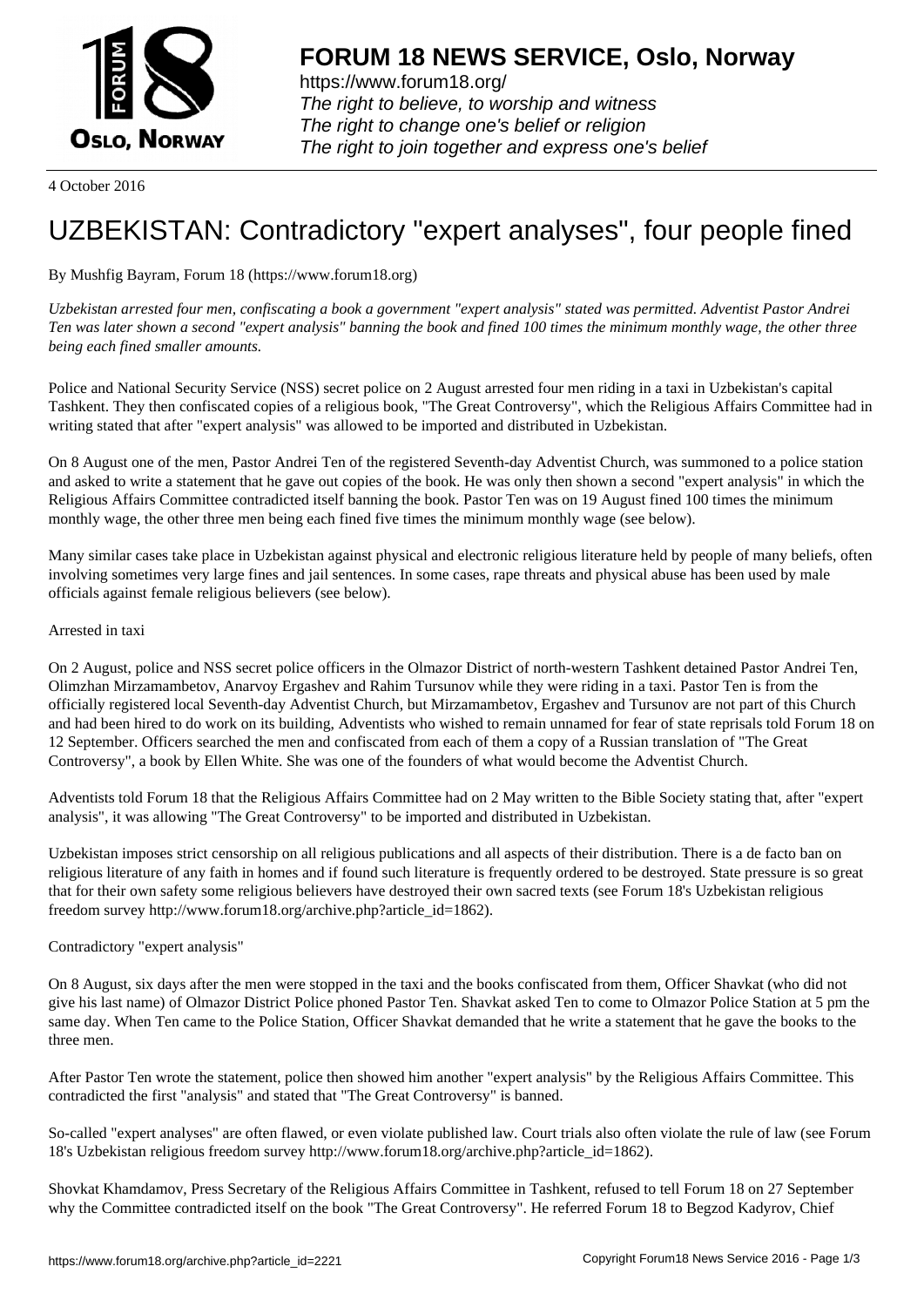

https://www.forum18.org/ The right to believe, to worship and witness The right to change one's belief or religion [The right to join together a](https://www.forum18.org/)nd express one's belief

4 October 2016

# [UZBEKISTAN:](https://www.forum18.org) Contradictory "expert analyses", four people fined

### By Mushfig Bayram, Forum 18 (https://www.forum18.org)

*Uzbekistan arrested four men, confiscating a book a government "expert analysis" stated was permitted. Adventist Pastor Andrei Ten was later shown a second "expert analysis" banning the book and fined 100 times the minimum monthly wage, the other three being each fined smaller amounts.*

Police and National Security Service (NSS) secret police on 2 August arrested four men riding in a taxi in Uzbekistan's capital Tashkent. They then confiscated copies of a religious book, "The Great Controversy", which the Religious Affairs Committee had in writing stated that after "expert analysis" was allowed to be imported and distributed in Uzbekistan.

On 8 August one of the men, Pastor Andrei Ten of the registered Seventh-day Adventist Church, was summoned to a police station and asked to write a statement that he gave out copies of the book. He was only then shown a second "expert analysis" in which the Religious Affairs Committee contradicted itself banning the book. Pastor Ten was on 19 August fined 100 times the minimum monthly wage, the other three men being each fined five times the minimum monthly wage (see below).

Many similar cases take place in Uzbekistan against physical and electronic religious literature held by people of many beliefs, often involving sometimes very large fines and jail sentences. In some cases, rape threats and physical abuse has been used by male officials against female religious believers (see below).

#### Arrested in taxi

On 2 August, police and NSS secret police officers in the Olmazor District of north-western Tashkent detained Pastor Andrei Ten, Olimzhan Mirzamambetov, Anarvoy Ergashev and Rahim Tursunov while they were riding in a taxi. Pastor Ten is from the officially registered local Seventh-day Adventist Church, but Mirzamambetov, Ergashev and Tursunov are not part of this Church and had been hired to do work on its building, Adventists who wished to remain unnamed for fear of state reprisals told Forum 18 on 12 September. Officers searched the men and confiscated from each of them a copy of a Russian translation of "The Great Controversy", a book by Ellen White. She was one of the founders of what would become the Adventist Church.

Adventists told Forum 18 that the Religious Affairs Committee had on 2 May written to the Bible Society stating that, after "expert analysis", it was allowing "The Great Controversy" to be imported and distributed in Uzbekistan.

Uzbekistan imposes strict censorship on all religious publications and all aspects of their distribution. There is a de facto ban on religious literature of any faith in homes and if found such literature is frequently ordered to be destroyed. State pressure is so great that for their own safety some religious believers have destroyed their own sacred texts (see Forum 18's Uzbekistan religious freedom survey http://www.forum18.org/archive.php?article\_id=1862).

#### Contradictory "expert analysis"

On 8 August, six days after the men were stopped in the taxi and the books confiscated from them, Officer Shavkat (who did not give his last name) of Olmazor District Police phoned Pastor Ten. Shavkat asked Ten to come to Olmazor Police Station at 5 pm the same day. When Ten came to the Police Station, Officer Shavkat demanded that he write a statement that he gave the books to the three men.

After Pastor Ten wrote the statement, police then showed him another "expert analysis" by the Religious Affairs Committee. This contradicted the first "analysis" and stated that "The Great Controversy" is banned.

So-called "expert analyses" are often flawed, or even violate published law. Court trials also often violate the rule of law (see Forum 18's Uzbekistan religious freedom survey http://www.forum18.org/archive.php?article\_id=1862).

Shovkat Khamdamov, Press Secretary of the Religious Affairs Committee in Tashkent, refused to tell Forum 18 on 27 September why the Committee contradicted itself on the book "The Great Controversy". He referred Forum 18 to Begzod Kadyrov, Chief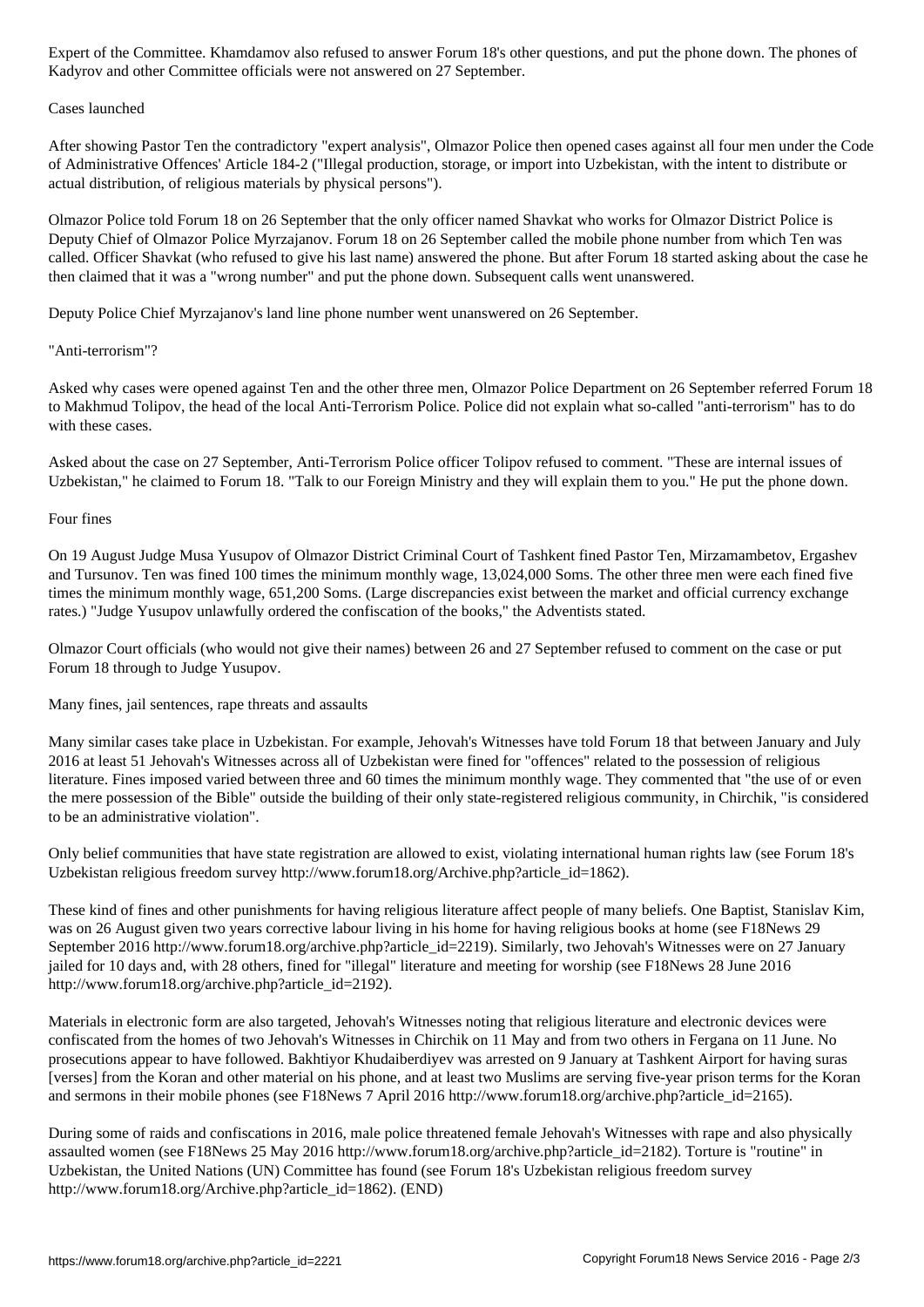## Cases launched

After showing Pastor Ten the contradictory "expert analysis", Olmazor Police then opened cases against all four men under the Code of Administrative Offences' Article 184-2 ("Illegal production, storage, or import into Uzbekistan, with the intent to distribute or actual distribution, of religious materials by physical persons").

Olmazor Police told Forum 18 on 26 September that the only officer named Shavkat who works for Olmazor District Police is Deputy Chief of Olmazor Police Myrzajanov. Forum 18 on 26 September called the mobile phone number from which Ten was called. Officer Shavkat (who refused to give his last name) answered the phone. But after Forum 18 started asking about the case he then claimed that it was a "wrong number" and put the phone down. Subsequent calls went unanswered.

Deputy Police Chief Myrzajanov's land line phone number went unanswered on 26 September.

 $\mathcal{L}$  and other Committee of and other Committee of 27 September.

#### "Anti-terrorism"?

Asked why cases were opened against Ten and the other three men, Olmazor Police Department on 26 September referred Forum 18 to Makhmud Tolipov, the head of the local Anti-Terrorism Police. Police did not explain what so-called "anti-terrorism" has to do with these cases.

Asked about the case on 27 September, Anti-Terrorism Police officer Tolipov refused to comment. "These are internal issues of Uzbekistan," he claimed to Forum 18. "Talk to our Foreign Ministry and they will explain them to you." He put the phone down.

#### Four fines

On 19 August Judge Musa Yusupov of Olmazor District Criminal Court of Tashkent fined Pastor Ten, Mirzamambetov, Ergashev and Tursunov. Ten was fined 100 times the minimum monthly wage, 13,024,000 Soms. The other three men were each fined five times the minimum monthly wage, 651,200 Soms. (Large discrepancies exist between the market and official currency exchange rates.) "Judge Yusupov unlawfully ordered the confiscation of the books," the Adventists stated.

Olmazor Court officials (who would not give their names) between 26 and 27 September refused to comment on the case or put Forum 18 through to Judge Yusupov.

Many fines, jail sentences, rape threats and assaults

Many similar cases take place in Uzbekistan. For example, Jehovah's Witnesses have told Forum 18 that between January and July 2016 at least 51 Jehovah's Witnesses across all of Uzbekistan were fined for "offences" related to the possession of religious literature. Fines imposed varied between three and 60 times the minimum monthly wage. They commented that "the use of or even the mere possession of the Bible" outside the building of their only state-registered religious community, in Chirchik, "is considered to be an administrative violation".

Only belief communities that have state registration are allowed to exist, violating international human rights law (see Forum 18's Uzbekistan religious freedom survey http://www.forum18.org/Archive.php?article\_id=1862).

These kind of fines and other punishments for having religious literature affect people of many beliefs. One Baptist, Stanislav Kim, was on 26 August given two years corrective labour living in his home for having religious books at home (see F18News 29 September 2016 http://www.forum18.org/archive.php?article\_id=2219). Similarly, two Jehovah's Witnesses were on 27 January jailed for 10 days and, with 28 others, fined for "illegal" literature and meeting for worship (see F18News 28 June 2016 http://www.forum18.org/archive.php?article\_id=2192).

Materials in electronic form are also targeted, Jehovah's Witnesses noting that religious literature and electronic devices were confiscated from the homes of two Jehovah's Witnesses in Chirchik on 11 May and from two others in Fergana on 11 June. No prosecutions appear to have followed. Bakhtiyor Khudaiberdiyev was arrested on 9 January at Tashkent Airport for having suras [verses] from the Koran and other material on his phone, and at least two Muslims are serving five-year prison terms for the Koran and sermons in their mobile phones (see F18News 7 April 2016 http://www.forum18.org/archive.php?article\_id=2165).

During some of raids and confiscations in 2016, male police threatened female Jehovah's Witnesses with rape and also physically assaulted women (see F18News 25 May 2016 http://www.forum18.org/archive.php?article\_id=2182). Torture is "routine" in Uzbekistan, the United Nations (UN) Committee has found (see Forum 18's Uzbekistan religious freedom survey http://www.forum18.org/Archive.php?article\_id=1862). (END)